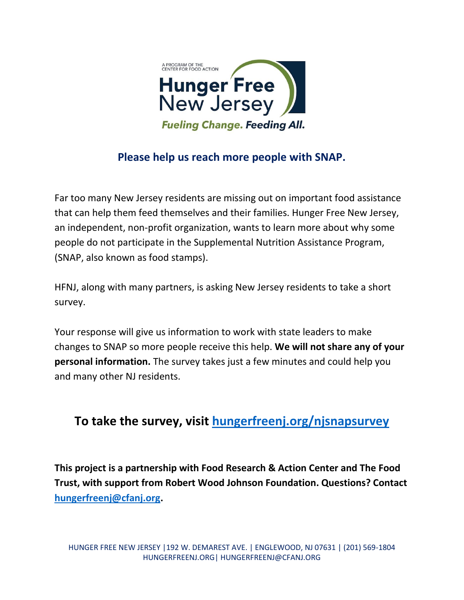

## **Please help us reach more people with SNAP.**

Far too many New Jersey residents are missing out on important food assistance that can help them feed themselves and their families. Hunger Free New Jersey, an independent, non-profit organization, wants to learn more about why some people do not participate in the Supplemental Nutrition Assistance Program, (SNAP, also known as food stamps).

HFNJ, along with many partners, is asking New Jersey residents to take a short survey.

Your response will give us information to work with state leaders to make changes to SNAP so more people receive this help. **We will not share any of your personal information.** The survey takes just a few minutes and could help you and many other NJ residents.

## **To take the survey, visit [hungerfreenj.org/njsnapsurvey](https://hungerfreenj.org/njsnapsurvey/)**

**This project is a partnership with Food Research & Action Center and The Food Trust, with support from Robert Wood Johnson Foundation. Questions? Contact [hungerfreenj@cfanj.org.](mailto:hungerfreenj@cfanj.org)**